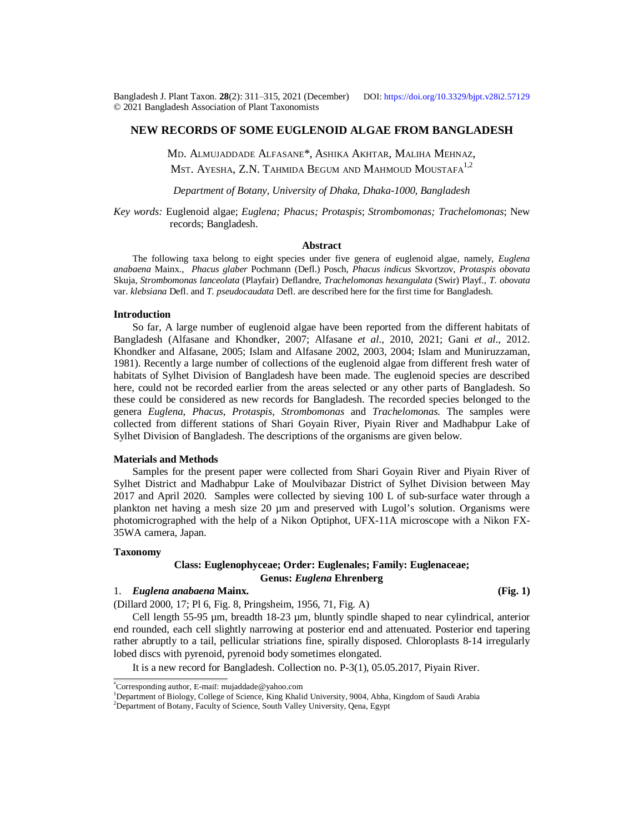Bangladesh J. Plant Taxon. **28**(2): 311‒315, 2021 (December) DOI: <https://doi.org/10.3329/bjpt.v28i2.57129> © 2021 Bangladesh Association of Plant Taxonomists

# **NEW RECORDS OF SOME EUGLENOID ALGAE FROM BANGLADESH**

MD. ALMUJADDADE ALFASANE\*, ASHIKA AKHTAR, MALIHA MEHNAZ, MST. AYESHA, Z.N. TAHMIDA BEGUM AND MAHMOUD MOUSTAFA<sup>1,2</sup>

*Department of Botany, University of Dhaka, Dhaka-1000, Bangladesh*

*Key words:* Euglenoid algae; *Euglena; Phacus; Protaspis*; *Strombomonas; Trachelomonas*; New records; Bangladesh.

#### **Abstract**

The following taxa belong to eight species under five genera of euglenoid algae, namely, *Euglena anabaena* Mainx., *Phacus glaber* Pochmann (Defl.) Posch, *Phacus indicus* Skvortzov, *Protaspis obovata* Skuja, *Strombomonas lanceolata* (Playfair) Deflandre, *Trachelomonas hexangulata* (Swir) Playf., *T. obovata* var. *klebsiana* Defl. and *T. pseudocaudata* Defl. are described here for the first time for Bangladesh.

### **Introduction**

So far, A large number of euglenoid algae have been reported from the different habitats of Bangladesh (Alfasane and Khondker, 2007; Alfasane *et al*., 2010, 2021; Gani *et al*., 2012. Khondker and Alfasane, 2005; Islam and Alfasane 2002, 2003, 2004; Islam and Muniruzzaman, 1981). Recently a large number of collections of the euglenoid algae from different fresh water of habitats of Sylhet Division of Bangladesh have been made. The euglenoid species are described here, could not be recorded earlier from the areas selected or any other parts of Bangladesh. So these could be considered as new records for Bangladesh. The recorded species belonged to the genera *Euglena*, *Phacus*, *Protaspis, Strombomonas* and *Trachelomonas.* The samples were collected from different stations of Shari Goyain River, Piyain River and Madhabpur Lake of Sylhet Division of Bangladesh. The descriptions of the organisms are given below.

#### **Materials and Methods**

Samples for the present paper were collected from Shari Goyain River and Piyain River of Sylhet District and Madhabpur Lake of Moulvibazar District of Sylhet Division between May 2017 and April 2020. Samples were collected by sieving 100 L of sub-surface water through a plankton net having a mesh size 20 µm and preserved with Lugol's solution. Organisms were photomicrographed with the help of a Nikon Optiphot, UFX-11A microscope with a Nikon FX-35WA camera, Japan.

#### **Taxonomy**

### **Class: Euglenophyceae; Order: Euglenales; Family: Euglenaceae; Genus:** *Euglena* **Ehrenberg**

# 1. *Euglena anabaena* **Mainx. (Fig. 1)**

(Dillard 2000, 17; Pl 6, Fig. 8, Pringsheim, 1956, 71, Fig. A)

Cell length 55-95 µm, breadth 18-23 µm, bluntly spindle shaped to near cylindrical, anterior end rounded, each cell slightly narrowing at posterior end and attenuated. Posterior end tapering rather abruptly to a tail, pellicular striations fine, spirally disposed. Chloroplasts 8-14 irregularly lobed discs with pyrenoid, pyrenoid body sometimes elongated.

It is a new record for Bangladesh. Collection no. P-3(1), 05.05.2017, Piyain River.

<sup>2</sup>Department of Botany, Faculty of Science, South Valley University, Qena, Egypt

<sup>\*</sup>Corresponding author, E-mail: [mujaddade@yahoo.com](mailto:mujaddade@yahoo.com)

<sup>1</sup>Department of Biology, College of Science, King Khalid University, 9004, Abha, Kingdom of Saudi Arabia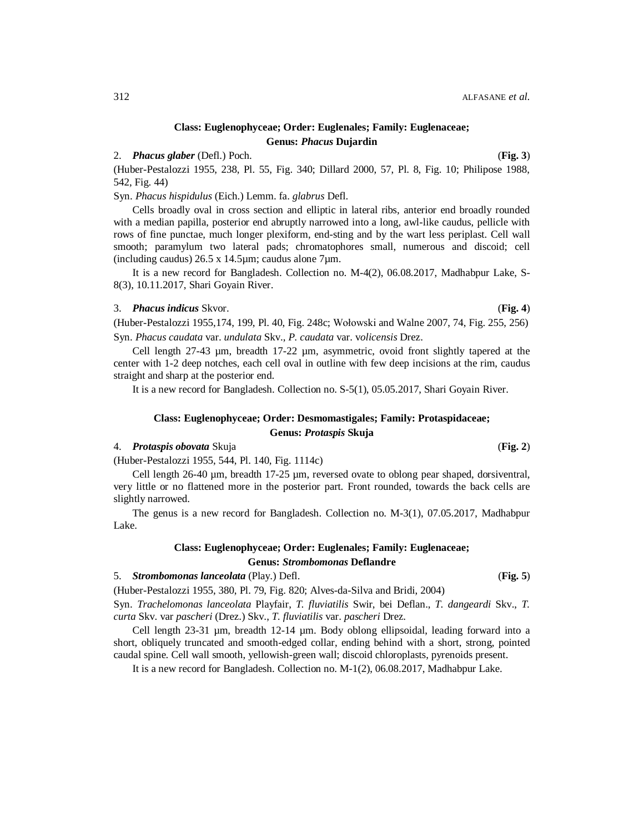# **Class: Euglenophyceae; Order: Euglenales; Family: Euglenaceae; Genus:** *Phacus* **Dujardin**

# 2. *Phacus glaber* (Defl.) Poch. (**Fig. 3**)

(Huber-Pestalozzi 1955, 238, Pl. 55, Fig. 340; Dillard 2000, 57, Pl. 8, Fig. 10; Philipose 1988, 542, Fig. 44)

Syn. *Phacus hispidulus* (Eich.) Lemm. fa. *glabrus* Defl.

Cells broadly oval in cross section and elliptic in lateral ribs, anterior end broadly rounded with a median papilla, posterior end abruptly narrowed into a long, awl-like caudus, pellicle with rows of fine punctae, much longer plexiform, end-sting and by the wart less periplast. Cell wall smooth; paramylum two lateral pads; chromatophores small, numerous and discoid; cell (including caudus)  $26.5 \times 14.5 \mu m$ ; caudus alone 7 $\mu$ m.

It is a new record for Bangladesh. Collection no. M-4(2), 06.08.2017, Madhabpur Lake, S-8(3), 10.11.2017, Shari Goyain River.

### 3. *Phacus indicus* Skvor. (**Fig. 4**)

(Huber-Pestalozzi 1955,174, 199, Pl. 40, Fig. 248c; Wołowski and Walne 2007, 74, Fig. 255, 256) Syn. *Phacus caudata* var. *undulata* Skv., *P. caudata* var. v*olicensis* Drez.

Cell length  $27-43$  µm, breadth  $17-22$  µm, asymmetric, ovoid front slightly tapered at the center with 1-2 deep notches, each cell oval in outline with few deep incisions at the rim, caudus straight and sharp at the posterior end.

It is a new record for Bangladesh. Collection no. S-5(1), 05.05.2017, Shari Goyain River.

### **Class: Euglenophyceae; Order: Desmomastigales; Family: Protaspidaceae;**

### **Genus:** *Protaspis* **Skuja**

### 4. *Protaspis obovata* Skuja (**Fig. 2**)

(Huber-Pestalozzi 1955, 544, Pl. 140, Fig. 1114c)

Cell length 26-40 µm, breadth 17-25 µm, reversed ovate to oblong pear shaped, dorsiventral, very little or no flattened more in the posterior part. Front rounded, towards the back cells are slightly narrowed.

The genus is a new record for Bangladesh. Collection no. M-3(1), 07.05.2017, Madhabpur Lake.

# **Class: Euglenophyceae; Order: Euglenales; Family: Euglenaceae; Genus:** *Strombomonas* **Deflandre**

5. *Strombomonas lanceolata* (Play.) Defl. (**Fig. 5**)

(Huber-Pestalozzi 1955, 380, Pl. 79, Fig. 820; Alves-da-Silva and Bridi, 2004)

Syn. *Trachelomonas lanceolata* Playfair, *T. fluviatilis* Swir, bei Deflan., *T. dangeardi* Skv., *T. curta* Skv. var *pascheri* (Drez.) Skv., *T. fluviatilis* var. *pascheri* Drez.

Cell length 23-31 µm, breadth 12-14 µm. Body oblong ellipsoidal, leading forward into a short, obliquely truncated and smooth-edged collar, ending behind with a short, strong, pointed caudal spine. Cell wall smooth, yellowish-green wall; discoid chloroplasts, pyrenoids present.

It is a new record for Bangladesh. Collection no. M-1(2), 06.08.2017, Madhabpur Lake.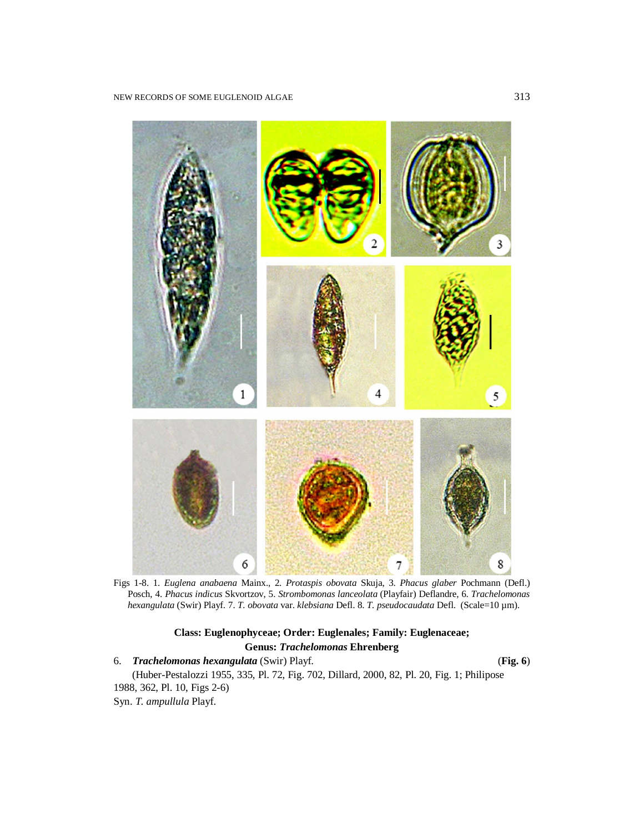

Figs 1-8. 1. *Euglena anabaena* Mainx., 2. *Protaspis obovata* Skuja, 3. *Phacus glaber* Pochmann (Defl.) Posch, 4. *Phacus indicus* Skvortzov, 5. *Strombomonas lanceolata* (Playfair) Deflandre, 6. *Trachelomonas hexangulata* (Swir) Playf. 7. *T. obovata* var. *klebsiana* Defl. 8. *T. pseudocaudata* Defl. (Scale=10 µm).

# **Class: Euglenophyceae; Order: Euglenales; Family: Euglenaceae; Genus:** *Trachelomonas* **Ehrenberg**

6. *Trachelomonas hexangulata* (Swir) Playf. (**Fig. 6**) (Huber-Pestalozzi 1955, 335, Pl. 72, Fig. 702, Dillard, 2000, 82, Pl. 20, Fig. 1; Philipose 1988, 362, Pl. 10, Figs 2-6) Syn. *T. ampullula* Playf.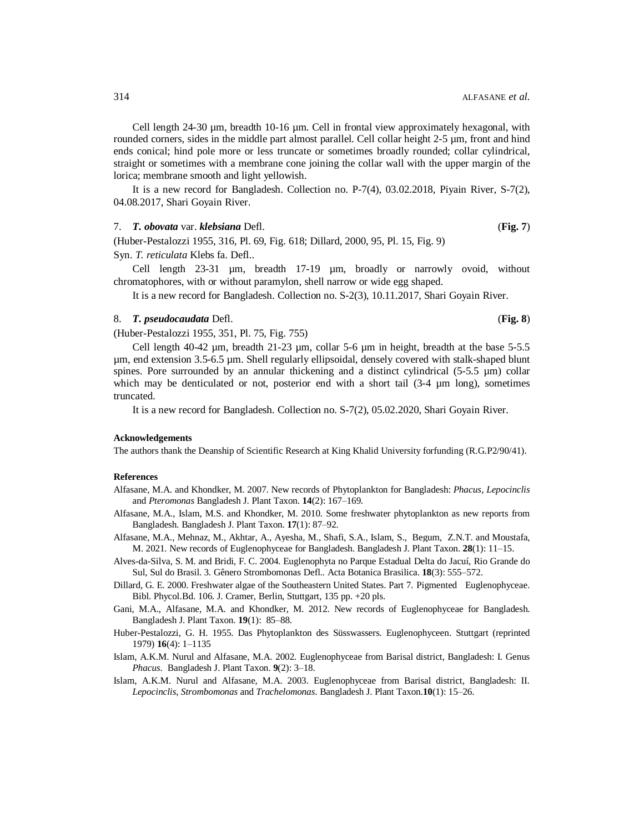Cell length  $24-30 \mu m$ , breadth  $10-16 \mu m$ . Cell in frontal view approximately hexagonal, with rounded corners, sides in the middle part almost parallel. Cell collar height 2-5 µm, front and hind ends conical; hind pole more or less truncate or sometimes broadly rounded; collar cylindrical, straight or sometimes with a membrane cone joining the collar wall with the upper margin of the lorica; membrane smooth and light yellowish.

It is a new record for Bangladesh. Collection no. P-7(4), 03.02.2018, Piyain River, S-7(2), 04.08.2017, Shari Goyain River.

#### 7. *T. obovata* var. *klebsiana* Defl. (**Fig. 7**)

(Huber-Pestalozzi 1955, 316, Pl. 69, Fig. 618; Dillard, 2000, 95, Pl. 15, Fig. 9)

Syn. *T. reticulata* Klebs fa. Defl..

Cell length 23-31 µm, breadth 17-19 µm, broadly or narrowly ovoid, without chromatophores, with or without paramylon, shell narrow or wide egg shaped.

It is a new record for Bangladesh. Collection no. S-2(3), 10.11.2017, Shari Goyain River.

### 8. *T. pseudocaudata* Defl. (**Fig. 8**)

(Huber-Pestalozzi 1955, 351, Pl. 75, Fig. 755)

Cell length 40-42  $\mu$ m, breadth 21-23  $\mu$ m, collar 5-6  $\mu$ m in height, breadth at the base 5-5.5 µm, end extension 3.5-6.5 µm. Shell regularly ellipsoidal, densely covered with stalk-shaped blunt spines. Pore surrounded by an annular thickening and a distinct cylindrical  $(5-5.5 \mu m)$  collar which may be denticulated or not, posterior end with a short tail  $(3-4 \mu m \text{ long})$ , sometimes truncated.

It is a new record for Bangladesh. Collection no. S-7(2), 05.02.2020, Shari Goyain River.

#### **Acknowledgements**

The authors thank the Deanship of Scientific Research at King Khalid University forfunding (R.G.P2/90/41).

#### **References**

- Alfasane, M.A. and Khondker, M. 2007. New records of Phytoplankton for Bangladesh: *Phacus*, *Lepocinclis* and *Pteromonas* Bangladesh J. Plant Taxon. 14(2): 167-169.
- Alfasane, M.A., Islam, M.S. and Khondker, M. 2010. Some freshwater phytoplankton as new reports from Bangladesh. Bangladesh J. Plant Taxon. 17(1): 87-92.
- Alfasane, M.A., Mehnaz, M., Akhtar, A., Ayesha, M., Shafi, S.A., Islam, S., Begum, Z.N.T. and Moustafa, M. 2021. New records of Euglenophyceae for Bangladesh. Bangladesh J. Plant Taxon. **28**(1): 11‒15.
- Alves-da-Silva, S. M. and Bridi, F. C. 2004. Euglenophyta no Parque Estadual Delta do Jacuí, Rio Grande do Sul, Sul do Brasil. 3. Gênero Strombomonas Defl.. Acta Botanica Brasilica. 18(3): 555-572.
- Dillard, G. E. 2000. Freshwater algae of the Southeastern United States. Part 7. Pigmented Euglenophyceae. Bibl. Phycol.Bd. 106. J. Cramer, Berlin, Stuttgart, 135 pp. +20 pls.
- Gani, M.A., Alfasane, M.A. and Khondker, M. 2012. New records of Euglenophyceae for Bangladesh. Bangladesh J. Plant Taxon. **19**(1): 85‒88.
- Huber-Pestalozzi, G. H. 1955. Das Phytoplankton des Süsswassers. Euglenophyceen. Stuttgart (reprinted 1979) **16**(4): 1‒1135
- Islam, A.K.M. Nurul and Alfasane, M.A. 2002. Euglenophyceae from Barisal district, Bangladesh: I. Genus *Phacus.* Bangladesh J. Plant Taxon. **9**(2): 3‒18.
- Islam, A.K.M. Nurul and Alfasane, M.A. 2003. Euglenophyceae from Barisal district, Bangladesh: II. *Lepocinclis*, *Strombomonas* and *Trachelomonas*. Bangladesh J. Plant Taxon.**10**(1): 15‒26.